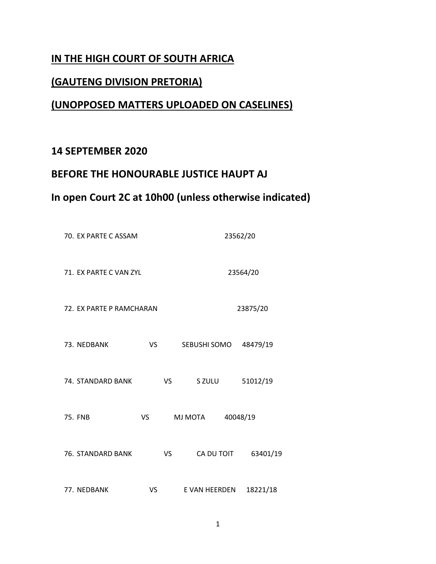## **IN THE HIGH COURT OF SOUTH AFRICA**

#### **(GAUTENG DIVISION PRETORIA)**

# **(UNOPPOSED MATTERS UPLOADED ON CASELINES)**

## **14 SEPTEMBER 2020**

### **BEFORE THE HONOURABLE JUSTICE HAUPT AJ**

# **In open Court 2C at 10h00 (unless otherwise indicated)**

|                          | 70. EX PARTE C ASSAM   |           |               | 23562/20 |  |  |  |
|--------------------------|------------------------|-----------|---------------|----------|--|--|--|
|                          | 71. EX PARTE C VAN ZYL |           | 23564/20      |          |  |  |  |
| 72. EX PARTE P RAMCHARAN |                        |           | 23875/20      |          |  |  |  |
| 73. NEDBANK              | VS.                    |           | SEBUSHI SOMO  | 48479/19 |  |  |  |
| 74. STANDARD BANK        |                        | <b>VS</b> | S ZULU        | 51012/19 |  |  |  |
| <b>75. FNB</b>           | VS                     |           | MJ MOTA       | 40048/19 |  |  |  |
| 76. STANDARD BANK        |                        | VS        | CA DU TOIT    | 63401/19 |  |  |  |
| 77. NEDBANK              | VS                     |           | E VAN HEERDEN | 18221/18 |  |  |  |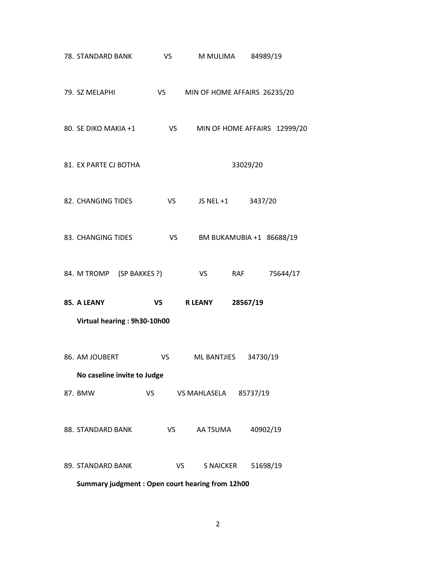| 78. STANDARD BANK                               | VS.       | M MULIMA                     | 84989/19                     |  |  |
|-------------------------------------------------|-----------|------------------------------|------------------------------|--|--|
| 79. SZ MELAPHI                                  | <b>VS</b> | MIN OF HOME AFFAIRS 26235/20 |                              |  |  |
| 80. SE DIKO MAKIA +1                            | <b>VS</b> |                              | MIN OF HOME AFFAIRS 12999/20 |  |  |
| 81. EX PARTE CJ BOTHA                           |           |                              | 33029/20                     |  |  |
| 82. CHANGING TIDES                              | <b>VS</b> | JS NEL +1 3437/20            |                              |  |  |
| 83. CHANGING TIDES                              | <b>VS</b> |                              | BM BUKAMUBIA +1 86688/19     |  |  |
| 84. M TROMP (SP BAKKES ?)                       |           | VS<br>RAF                    | 75644/17                     |  |  |
| 85. A LEANY                                     | <b>VS</b> | <b>R LEANY</b>               | 28567/19                     |  |  |
| Virtual hearing: 9h30-10h00                     |           |                              |                              |  |  |
| 86. AM JOUBERT                                  | VS        | ML BANTJIES 34730/19         |                              |  |  |
| No caseline invite to Judge                     |           |                              |                              |  |  |
| 87. BMW                                         | VS        | VS MAHLASELA 85737/19        |                              |  |  |
| 88. STANDARD BANK                               | VS        | AA TSUMA                     | 40902/19                     |  |  |
| 89. STANDARD BANK                               | VS        | S NAICKER                    | 51698/19                     |  |  |
| Summary judgment: Open court hearing from 12h00 |           |                              |                              |  |  |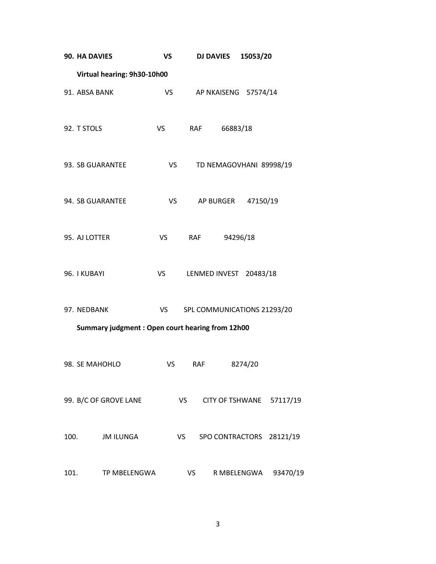|      | 90. HA DAVIES                                   | VS        |           | <b>DJ DAVIES</b>            | 15053/20    |                          |  |  |
|------|-------------------------------------------------|-----------|-----------|-----------------------------|-------------|--------------------------|--|--|
|      | Virtual hearing: 9h30-10h00                     |           |           |                             |             |                          |  |  |
|      | 91. ABSA BANK                                   | VS        |           | AP NKAISENG 57574/14        |             |                          |  |  |
|      | 92. T STOLS                                     | VS        |           | <b>RAF</b><br>66883/18      |             |                          |  |  |
|      | 93. SB GUARANTEE                                |           | <b>VS</b> | TD NEMAGOVHANI 89998/19     |             |                          |  |  |
|      | 94. SB GUARANTEE                                | VS        |           | AP BURGER 47150/19          |             |                          |  |  |
|      | 95. AJ LOTTER                                   | <b>VS</b> |           | <b>RAF</b>                  | 94296/18    |                          |  |  |
|      | 96. I KUBAYI                                    | <b>VS</b> |           | LENMED INVEST 20483/18      |             |                          |  |  |
|      | 97. NEDBANK                                     | VS        |           | SPL COMMUNICATIONS 21293/20 |             |                          |  |  |
|      | Summary judgment: Open court hearing from 12h00 |           |           |                             |             |                          |  |  |
|      | 98. SE MAHOHLO                                  | VS        |           | RAF                         | 8274/20     |                          |  |  |
|      | 99. B/C OF GROVE LANE                           |           | <b>VS</b> |                             |             | CITY OF TSHWANE 57117/19 |  |  |
| 100. | <b>JM ILUNGA</b>                                |           | VS        | SPO CONTRACTORS 28121/19    |             |                          |  |  |
| 101. | TP MBELENGWA                                    |           | VS        |                             | R MBELENGWA | 93470/19                 |  |  |